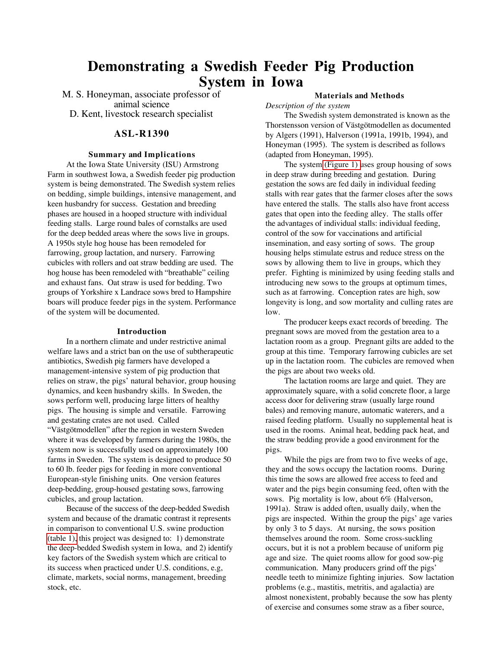# **Demonstrating a Swedish Feeder Pig Production System in Iowa**

M. S. Honeyman, associate professor of animal science D. Kent, livestock research specialist

### **ASL-R1390**

#### **Summary and Implications**

At the Iowa State University (ISU) Armstrong Farm in southwest Iowa, a Swedish feeder pig production system is being demonstrated. The Swedish system relies on bedding, simple buildings, intensive management, and keen husbandry for success. Gestation and breeding phases are housed in a hooped structure with individual feeding stalls. Large round bales of cornstalks are used for the deep bedded areas where the sows live in groups. A 1950s style hog house has been remodeled for farrowing, group lactation, and nursery. Farrowing cubicles with rollers and oat straw bedding are used. The hog house has been remodeled with "breathable" ceiling and exhaust fans. Oat straw is used for bedding. Two groups of Yorkshire x Landrace sows bred to Hampshire boars will produce feeder pigs in the system. Performance of the system will be documented.

#### **Introduction**

In a northern climate and under restrictive animal welfare laws and a strict ban on the use of subtherapeutic antibiotics, Swedish pig farmers have developed a management-intensive system of pig production that relies on straw, the pigs' natural behavior, group housing dynamics, and keen husbandry skills. In Sweden, the sows perform well, producing large litters of healthy pigs. The housing is simple and versatile. Farrowing and gestating crates are not used. Called "Västgötmodellen" after the region in western Sweden where it was developed by farmers during the 1980s, the system now is successfully used on approximately 100 farms in Sweden. The system is designed to produce 50 to 60 lb. feeder pigs for feeding in more conventional European-style finishing units. One version features deep-bedding, group-housed gestating sows, farrowing cubicles, and group lactation.

Because of the success of the deep-bedded Swedish system and because of the dramatic contrast it represents in comparison to conventional U.S. swine production [\(table 1\),](#page-3-0) this project was designed to: 1) demonstrate the deep-bedded Swedish system in Iowa, and 2) identify key factors of the Swedish system which are critical to its success when practiced under U.S. conditions, e.g, climate, markets, social norms, management, breeding stock, etc.

## **Materials and Methods**

*Description of the system*

The Swedish system demonstrated is known as the Thorstensson version of Västgötmodellen as documented by Algers (1991), Halverson (1991a, 1991b, 1994), and Honeyman (1995). The system is described as follows (adapted from Honeyman, 1995).

The system [\(Figure 1\) u](#page-2-0)ses group housing of sows in deep straw during breeding and gestation. During gestation the sows are fed daily in individual feeding stalls with rear gates that the farmer closes after the sows have entered the stalls. The stalls also have front access gates that open into the feeding alley. The stalls offer the advantages of individual stalls: individual feeding, control of the sow for vaccinations and artificial insemination, and easy sorting of sows. The group housing helps stimulate estrus and reduce stress on the sows by allowing them to live in groups, which they prefer. Fighting is minimized by using feeding stalls and introducing new sows to the groups at optimum times, such as at farrowing. Conception rates are high, sow longevity is long, and sow mortality and culling rates are low.

The producer keeps exact records of breeding. The pregnant sows are moved from the gestation area to a lactation room as a group. Pregnant gilts are added to the group at this time. Temporary farrowing cubicles are set up in the lactation room. The cubicles are removed when the pigs are about two weeks old.

The lactation rooms are large and quiet. They are approximately square, with a solid concrete floor, a large access door for delivering straw (usually large round bales) and removing manure, automatic waterers, and a raised feeding platform. Usually no supplemental heat is used in the rooms. Animal heat, bedding pack heat, and the straw bedding provide a good environment for the pigs.

While the pigs are from two to five weeks of age, they and the sows occupy the lactation rooms. During this time the sows are allowed free access to feed and water and the pigs begin consuming feed, often with the sows. Pig mortality is low, about 6% (Halverson, 1991a). Straw is added often, usually daily, when the pigs are inspected. Within the group the pigs' age varies by only 3 to 5 days. At nursing, the sows position themselves around the room. Some cross-suckling occurs, but it is not a problem because of uniform pig age and size. The quiet rooms allow for good sow-pig communication. Many producers grind off the pigs' needle teeth to minimize fighting injuries. Sow lactation problems (e.g., mastitis, metritis, and agalactia) are almost nonexistent, probably because the sow has plenty of exercise and consumes some straw as a fiber source,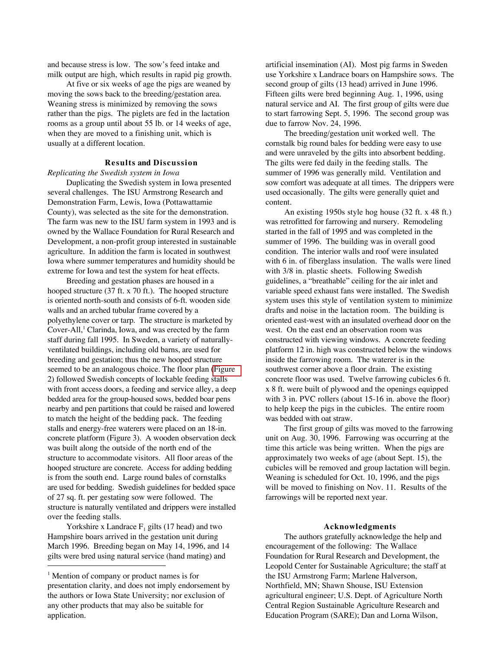and because stress is low. The sow's feed intake and milk output are high, which results in rapid pig growth.

At five or six weeks of age the pigs are weaned by moving the sows back to the breeding/gestation area. Weaning stress is minimized by removing the sows rather than the pigs. The piglets are fed in the lactation rooms as a group until about 55 lb. or 14 weeks of age, when they are moved to a finishing unit, which is usually at a different location.

# **Results and Discussion**

#### *Replicating the Swedish system in Iowa*

Duplicating the Swedish system in Iowa presented several challenges. The ISU Armstrong Research and Demonstration Farm, Lewis, Iowa (Pottawattamie County), was selected as the site for the demonstration. The farm was new to the ISU farm system in 1993 and is owned by the Wallace Foundation for Rural Research and Development, a non-profit group interested in sustainable agriculture. In addition the farm is located in southwest Iowa where summer temperatures and humidity should be extreme for Iowa and test the system for heat effects.

Breeding and gestation phases are housed in a hooped structure (37 ft. x 70 ft.). The hooped structure is oriented north-south and consists of 6-ft. wooden side walls and an arched tubular frame covered by a polyethylene cover or tarp. The structure is marketed by Cover-All,<sup>1</sup> Clarinda, Iowa, and was erected by the farm staff during fall 1995. In Sweden, a variety of naturallyventilated buildings, including old barns, are used for breeding and gestation; thus the new hooped structure seemed to be an analogous choice. The floor plan [\(Figure](#page-4-0) 2) followed Swedish concepts of lockable feeding stalls with front access doors, a feeding and service alley, a deep bedded area for the group-housed sows, bedded boar pens nearby and pen partitions that could be raised and lowered to match the height of the bedding pack. The feeding stalls and energy-free waterers were placed on an 18-in. concrete platform (Figure 3). A wooden observation deck was built along the outside of the north end of the structure to accommodate visitors. All floor areas of the hooped structure are concrete. Access for adding bedding is from the south end. Large round bales of cornstalks are used for bedding. Swedish guidelines for bedded space of 27 sq. ft. per gestating sow were followed. The structure is naturally ventilated and drippers were installed over the feeding stalls.

Yorkshire x Landrace  $F_1$  gilts (17 head) and two Hampshire boars arrived in the gestation unit during March 1996. Breeding began on May 14, 1996, and 14 gilts were bred using natural service (hand mating) and j

artificial insemination (AI). Most pig farms in Sweden use Yorkshire x Landrace boars on Hampshire sows. The second group of gilts (13 head) arrived in June 1996. Fifteen gilts were bred beginning Aug. 1, 1996, using natural service and AI. The first group of gilts were due to start farrowing Sept. 5, 1996. The second group was due to farrow Nov. 24, 1996.

The breeding/gestation unit worked well. The cornstalk big round bales for bedding were easy to use and were unraveled by the gilts into absorbent bedding. The gilts were fed daily in the feeding stalls. The summer of 1996 was generally mild. Ventilation and sow comfort was adequate at all times. The drippers were used occasionally. The gilts were generally quiet and content.

An existing 1950s style hog house (32 ft. x 48 ft.) was retrofitted for farrowing and nursery. Remodeling started in the fall of 1995 and was completed in the summer of 1996. The building was in overall good condition. The interior walls and roof were insulated with 6 in. of fiberglass insulation. The walls were lined with 3/8 in. plastic sheets. Following Swedish guidelines, a "breathable" ceiling for the air inlet and variable speed exhaust fans were installed. The Swedish system uses this style of ventilation system to minimize drafts and noise in the lactation room. The building is oriented east-west with an insulated overhead door on the west. On the east end an observation room was constructed with viewing windows. A concrete feeding platform 12 in. high was constructed below the windows inside the farrowing room. The waterer is in the southwest corner above a floor drain. The existing concrete floor was used. Twelve farrowing cubicles 6 ft. x 8 ft. were built of plywood and the openings equipped with 3 in. PVC rollers (about 15-16 in. above the floor) to help keep the pigs in the cubicles. The entire room was bedded with oat straw.

The first group of gilts was moved to the farrowing unit on Aug. 30, 1996. Farrowing was occurring at the time this article was being written. When the pigs are approximately two weeks of age (about Sept. 15), the cubicles will be removed and group lactation will begin. Weaning is scheduled for Oct. 10, 1996, and the pigs will be moved to finishing on Nov. 11. Results of the farrowings will be reported next year.

#### **Acknowledgments**

The authors gratefully acknowledge the help and encouragement of the following: The Wallace Foundation for Rural Research and Development, the Leopold Center for Sustainable Agriculture; the staff at the ISU Armstrong Farm; Marlene Halverson, Northfield, MN; Shawn Shouse, ISU Extension agricultural engineer; U.S. Dept. of Agriculture North Central Region Sustainable Agriculture Research and Education Program (SARE); Dan and Lorna Wilson,

<sup>&</sup>lt;sup>1</sup> Mention of company or product names is for presentation clarity, and does not imply endorsement by the authors or Iowa State University; nor exclusion of any other products that may also be suitable for application.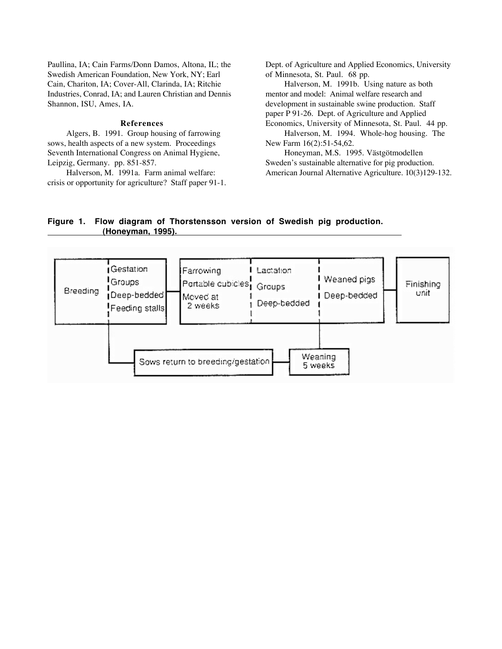<span id="page-2-0"></span>Paullina, IA; Cain Farms/Donn Damos, Altona, IL; the Swedish American Foundation, New York, NY; Earl Cain, Chariton, IA; Cover-All, Clarinda, IA; Ritchie Industries, Conrad, IA; and Lauren Christian and Dennis Shannon, ISU, Ames, IA.

#### **References**

Algers, B. 1991. Group housing of farrowing sows, health aspects of a new system. Proceedings Seventh International Congress on Animal Hygiene, Leipzig, Germany. pp. 851-857.

Halverson, M. 1991a. Farm animal welfare: crisis or opportunity for agriculture? Staff paper 91-1. Dept. of Agriculture and Applied Economics, University of Minnesota, St. Paul. 68 pp.

Halverson, M. 1991b. Using nature as both mentor and model: Animal welfare research and development in sustainable swine production. Staff paper P 91-26. Dept. of Agriculture and Applied Economics, University of Minnesota, St. Paul. 44 pp.

Halverson, M. 1994. Whole-hog housing. The New Farm 16(2):51-54,62.

Honeyman, M.S. 1995. Västgötmodellen Sweden's sustainable alternative for pig production. American Journal Alternative Agriculture. 10(3)129-132.

# **Figure 1. Flow diagram of Thorstensson version of Swedish pig production. (Honeyman, 1995).**

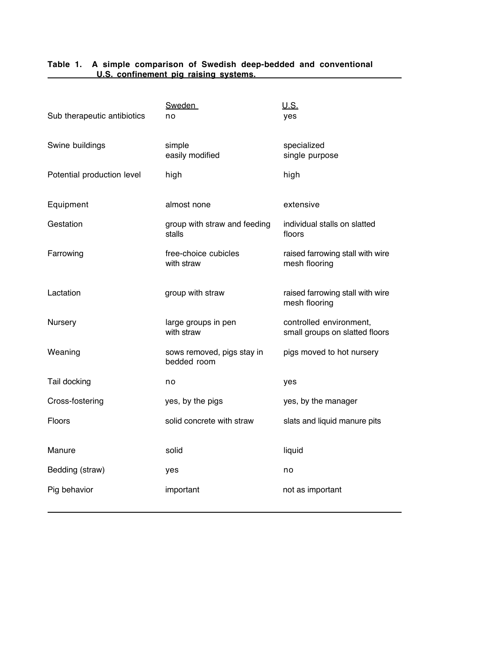| Sub therapeutic antibiotics | <b>Sweden</b><br>no                       | U.S.<br>yes                                               |
|-----------------------------|-------------------------------------------|-----------------------------------------------------------|
| Swine buildings             | simple<br>easily modified                 | specialized<br>single purpose                             |
| Potential production level  | high                                      | high                                                      |
| Equipment                   | almost none                               | extensive                                                 |
| Gestation                   | group with straw and feeding<br>stalls    | individual stalls on slatted<br>floors                    |
| Farrowing                   | free-choice cubicles<br>with straw        | raised farrowing stall with wire<br>mesh flooring         |
| Lactation                   | group with straw                          | raised farrowing stall with wire<br>mesh flooring         |
| Nursery                     | large groups in pen<br>with straw         | controlled environment,<br>small groups on slatted floors |
| Weaning                     | sows removed, pigs stay in<br>bedded room | pigs moved to hot nursery                                 |
| Tail docking                | no                                        | yes                                                       |
| Cross-fostering             | yes, by the pigs                          | yes, by the manager                                       |
| <b>Floors</b>               | solid concrete with straw                 | slats and liquid manure pits                              |
| Manure                      | solid                                     | liquid                                                    |
| Bedding (straw)             | yes                                       | no                                                        |
| Pig behavior                | important                                 | not as important                                          |

# <span id="page-3-0"></span>**Table 1. A simple comparison of Swedish deep-bedded and conventional COLORET COLORET EXAMPLE 15 IDEAS CONFIDENT COLORET LETTED EXAMPLE 2018 COLORET LETTED EXAMPLE 2018**